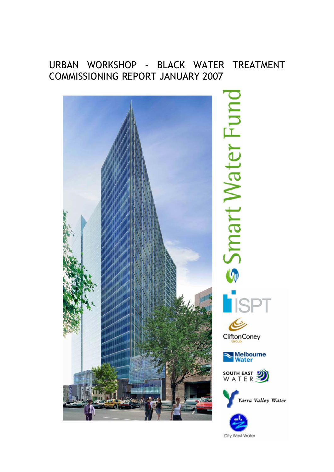# URBAN WORKSHOP – BLACK WATER TREATMENT COMMISSIONING REPORT JANUARY 2007



City West Water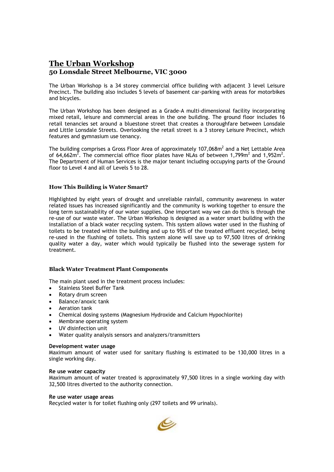# **The Urban Workshop 50 Lonsdale Street Melbourne, VIC 3000**

The Urban Workshop is a 34 storey commercial office building with adjacent 3 level Leisure Precinct. The building also includes 5 levels of basement car-parking with areas for motorbikes and bicycles.

The Urban Workshop has been designed as a Grade-A multi-dimensional facility incorporating mixed retail, leisure and commercial areas in the one building. The ground floor includes 16 retail tenancies set around a bluestone street that creates a thoroughfare between Lonsdale and Little Lonsdale Streets. Overlooking the retail street is a 3 storey Leisure Precinct, which features and gymnasium use tenancy.

The building comprises a Gross Floor Area of approximately 107,068 $\text{m}^2$  and a Net Lettable Area of 64,662 $m^2$ . The commercial office floor plates have NLAs of between 1,799 $m^2$  and 1,952 $m^2$ . The Department of Human Services is the major tenant including occupying parts of the Ground floor to Level 4 and all of Levels 5 to 28.

# **How This Building is Water Smart?**

Highlighted by eight years of drought and unreliable rainfall, community awareness in water related issues has increased significantly and the community is working together to ensure the long term sustainability of our water supplies. One important way we can do this is through the re-use of our waste water. The Urban Workshop is designed as a water smart building with the installation of a black water recycling system. This system allows water used in the flushing of toilets to be treated within the building and up to 95% of the treated effluent recycled, being re-used in the flushing of toilets. This system alone will save up to 97,500 litres of drinking quality water a day, water which would typically be flushed into the sewerage system for treatment.

### **Black Water Treatment Plant Components**

The main plant used in the treatment process includes:

- Stainless Steel Buffer Tank
- Rotary drum screen
- Balance/anoxic tank
- Aeration tank
- Chemical dosing systems (Magnesium Hydroxide and Calcium Hypochlorite)
- Membrane operating system
- UV disinfection unit
- Water quality analysis sensors and analyzers/transmitters

#### **Development water usage**

Maximum amount of water used for sanitary flushing is estimated to be 130,000 litres in a single working day.

## **Re use water capacity**

Maximum amount of water treated is approximately 97,500 litres in a single working day with 32,500 litres diverted to the authority connection.

#### **Re use water usage areas**

Recycled water is for toilet flushing only (297 toilets and 99 urinals).

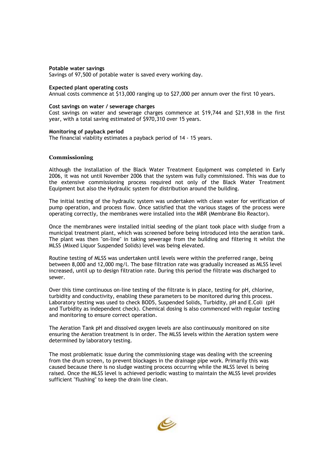#### **Potable water savings**

Savings of 97,500 of potable water is saved every working day.

#### **Expected plant operating costs**

Annual costs commence at \$13,000 ranging up to \$27,000 per annum over the first 10 years.

#### **Cost savings on water / sewerage charges**

Cost savings on water and sewerage charges commence at \$19,744 and \$21,938 in the first year, with a total saving estimated of \$970,310 over 15 years.

#### **Monitoring of payback period**

The financial viability estimates a payback period of 14 - 15 years.

### **Commissioning**

Although the Installation of the Black Water Treatment Equipment was completed in Early 2006, it was not until November 2006 that the system was fully commissioned. This was due to the extensive commissioning process required not only of the Black Water Treatment Equipment but also the Hydraulic system for distribution around the building.

The initial testing of the hydraulic system was undertaken with clean water for verification of pump operation, and process flow. Once satisfied that the various stages of the process were operating correctly, the membranes were installed into the MBR (Membrane Bio Reactor).

Once the membranes were installed initial seeding of the plant took place with sludge from a municipal treatment plant, which was screened before being introduced into the aeration tank. The plant was then "on-line" in taking sewerage from the building and filtering it whilst the MLSS (Mixed Liquor Suspended Solids) level was being elevated.

Routine testing of MLSS was undertaken until levels were within the preferred range, being between 8,000 and 12,000 mg/l. The base filtration rate was gradually increased as MLSS level increased, until up to design filtration rate. During this period the filtrate was discharged to sewer.

Over this time continuous on-line testing of the filtrate is in place, testing for pH, chlorine, turbidity and conductivity, enabling these parameters to be monitored during this process. Laboratory testing was used to check BOD5, Suspended Solids, Turbidity, pH and E.Coli (pH and Turbidity as independent check). Chemical dosing is also commenced with regular testing and monitoring to ensure correct operation.

The Aeration Tank pH and dissolved oxygen levels are also continuously monitored on site ensuring the Aeration treatment is in order. The MLSS levels within the Aeration system were determined by laboratory testing.

The most problematic issue during the commissioning stage was dealing with the screening from the drum screen, to prevent blockages in the drainage pipe work. Primarily this was caused because there is no sludge wasting process occurring while the MLSS level is being raised. Once the MLSS level is achieved periodic wasting to maintain the MLSS level provides sufficient "flushing" to keep the drain line clean.

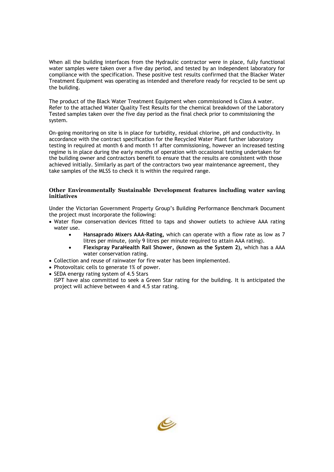When all the building interfaces from the Hydraulic contractor were in place, fully functional water samples were taken over a five day period, and tested by an independent laboratory for compliance with the specification. These positive test results confirmed that the Blacker Water Treatment Equipment was operating as intended and therefore ready for recycled to be sent up the building.

The product of the Black Water Treatment Equipment when commissioned is Class A water. Refer to the attached Water Quality Test Results for the chemical breakdown of the Laboratory Tested samples taken over the five day period as the final check prior to commissioning the system.

On-going monitoring on site is in place for turbidity, residual chlorine, pH and conductivity. In accordance with the contract specification for the Recycled Water Plant further laboratory testing in required at month 6 and month 11 after commissioning, however an increased testing regime is in place during the early months of operation with occasional testing undertaken for the building owner and contractors benefit to ensure that the results are consistent with those achieved initially. Similarly as part of the contractors two year maintenance agreement, they take samples of the MLSS to check it is within the required range.

# **Other Environmentally Sustainable Development features including water saving initiatives**

Under the Victorian Government Property Group's Building Performance Benchmark Document the project must incorporate the following:

- Water flow conservation devices fitted to taps and shower outlets to achieve AAA rating water use.
	- **Hansaprado Mixers AAA-Rating,** which can operate with a flow rate as low as 7 litres per minute, (only 9 litres per minute required to attain AAA rating).
	- **Flexispray ParaHealth Rail Shower, (known as the System 2),** which has a AAA water conservation rating.
- Collection and reuse of rainwater for fire water has been implemented.
- Photovoltaic cells to generate 1% of power.
- SEDA energy rating system of 4.5 Stars

ISPT have also committed to seek a Green Star rating for the building. It is anticipated the project will achieve between 4 and 4.5 star rating.

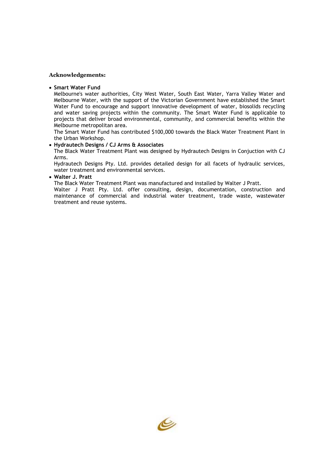#### **Acknowledgements:**

#### • **Smart Water Fund**

Melbourne's water authorities, City West Water, South East Water, Yarra Valley Water and Melbourne Water, with the support of the Victorian Government have established the Smart Water Fund to encourage and support innovative development of water, biosolids recycling and water saving projects within the community. The Smart Water Fund is applicable to projects that deliver broad environmental, community, and commercial benefits within the Melbourne metropolitan area.

The Smart Water Fund has contributed \$100,000 towards the Black Water Treatment Plant in the Urban Workshop.

# • **Hydrautech Designs / CJ Arms & Associates**

The Black Water Treatment Plant was designed by Hydrautech Designs in Conjuction with CJ Arms.

Hydrautech Designs Pty. Ltd. provides detailed design for all facets of hydraulic services, water treatment and environmental services.

#### • **Walter J. Pratt**

The Black Water Treatment Plant was manufactured and installed by Walter J Pratt.

Walter J Pratt Pty. Ltd. offer consulting, design, documentation, construction and maintenance of commercial and industrial water treatment, trade waste, wastewater treatment and reuse systems.

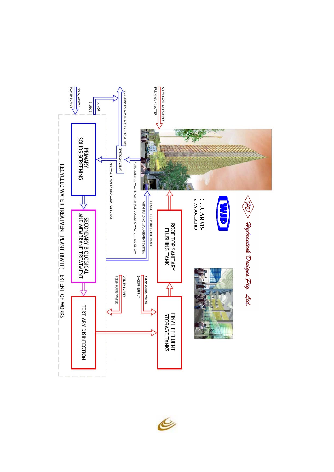